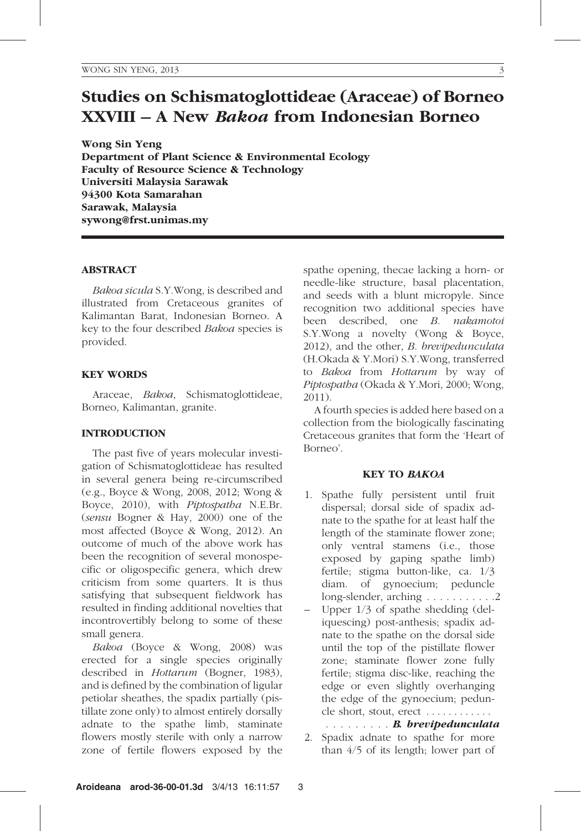# Studies on Schismatoglottideae (Araceae) of Borneo XXVIII – A New Bakoa from Indonesian Borneo

Wong Sin Yeng Department of Plant Science & Environmental Ecology Faculty of Resource Science & Technology Universiti Malaysia Sarawak 94300 Kota Samarahan Sarawak, Malaysia sywong@frst.unimas.my

## ABSTRACT

Bakoa sicula S.Y.Wong, is described and illustrated from Cretaceous granites of Kalimantan Barat, Indonesian Borneo. A key to the four described Bakoa species is provided.

## KEY WORDS

Araceae, Bakoa, Schismatoglottideae, Borneo, Kalimantan, granite.

# INTRODUCTION

The past five of years molecular investigation of Schismatoglottideae has resulted in several genera being re-circumscribed (e.g., Boyce & Wong, 2008, 2012; Wong & Boyce, 2010), with Piptospatha N.E.Br. (sensu Bogner & Hay, 2000) one of the most affected (Boyce & Wong, 2012). An outcome of much of the above work has been the recognition of several monospecific or oligospecific genera, which drew criticism from some quarters. It is thus satisfying that subsequent fieldwork has resulted in finding additional novelties that incontrovertibly belong to some of these small genera.

Bakoa (Boyce & Wong, 2008) was erected for a single species originally described in Hottarum (Bogner, 1983), and is defined by the combination of ligular petiolar sheathes, the spadix partially (pistillate zone only) to almost entirely dorsally adnate to the spathe limb, staminate flowers mostly sterile with only a narrow zone of fertile flowers exposed by the spathe opening, thecae lacking a horn- or needle-like structure, basal placentation, and seeds with a blunt micropyle. Since recognition two additional species have been described, one B. nakamotoi S.Y.Wong a novelty (Wong & Boyce, 2012), and the other, B. brevipedunculata (H.Okada & Y.Mori) S.Y.Wong, transferred to Bakoa from Hottarum by way of Piptospatha (Okada & Y.Mori, 2000; Wong, 2011).

A fourth species is added here based on a collection from the biologically fascinating Cretaceous granites that form the 'Heart of Borneo'.

#### KEY TO BAKOA

- 1. Spathe fully persistent until fruit dispersal; dorsal side of spadix adnate to the spathe for at least half the length of the staminate flower zone; only ventral stamens (i.e., those exposed by gaping spathe limb) fertile; stigma button-like, ca. 1/3 diam. of gynoecium; peduncle long-slender, arching . . . . . . . . . . . 2
- Upper  $1/3$  of spathe shedding (deliquescing) post-anthesis; spadix adnate to the spathe on the dorsal side until the top of the pistillate flower zone; staminate flower zone fully fertile; stigma disc-like, reaching the edge or even slightly overhanging the edge of the gynoecium; peduncle short, stout, erect . . . . . . . . . . . .

......... B. brevipedunculata

2. Spadix adnate to spathe for more than 4/5 of its length; lower part of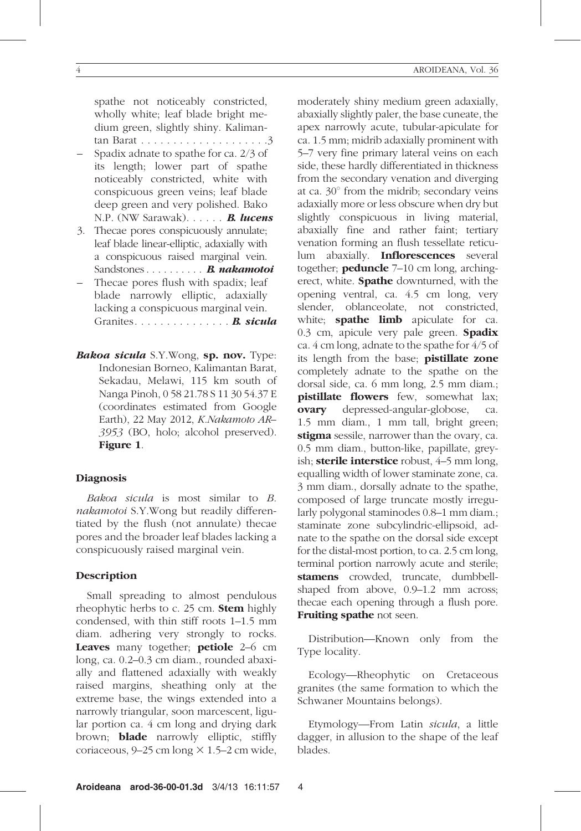spathe not noticeably constricted, wholly white; leaf blade bright medium green, slightly shiny. Kalimantan Barat . . . . . . . . . . . . . . . . . . . .3

- Spadix adnate to spathe for ca. 2/3 of its length; lower part of spathe noticeably constricted, white with conspicuous green veins; leaf blade deep green and very polished. Bako N.P. (NW Sarawak). . . . . . **B. lucens**
- 3. Thecae pores conspicuously annulate; leaf blade linear-elliptic, adaxially with a conspicuous raised marginal vein. Sandstones . . . . . . . . . **B. nakamotoi**
- Thecae pores flush with spadix; leaf blade narrowly elliptic, adaxially lacking a conspicuous marginal vein. Granites..................... **B. sicula**
- Bakoa sicula S.Y.Wong, sp. nov. Type: Indonesian Borneo, Kalimantan Barat, Sekadau, Melawi, 115 km south of Nanga Pinoh, 0 58 21.78 S 11 30 54.37 E (coordinates estimated from Google Earth), 22 May 2012, K.Nakamoto AR– 3953 (BO, holo; alcohol preserved). Figure 1.

#### **Diagnosis**

Bakoa sicula is most similar to B. nakamotoi S.Y.Wong but readily differentiated by the flush (not annulate) thecae pores and the broader leaf blades lacking a conspicuously raised marginal vein.

#### Description

Small spreading to almost pendulous rheophytic herbs to c. 25 cm. **Stem** highly condensed, with thin stiff roots 1–1.5 mm diam. adhering very strongly to rocks. Leaves many together; petiole 2–6 cm long, ca. 0.2–0.3 cm diam., rounded abaxially and flattened adaxially with weakly raised margins, sheathing only at the extreme base, the wings extended into a narrowly triangular, soon marcescent, ligular portion ca. 4 cm long and drying dark brown; blade narrowly elliptic, stiffly coriaceous,  $9-25$  cm long  $\times$  1.5–2 cm wide,

moderately shiny medium green adaxially, abaxially slightly paler, the base cuneate, the apex narrowly acute, tubular-apiculate for ca. 1.5 mm; midrib adaxially prominent with 5–7 very fine primary lateral veins on each side, these hardly differentiated in thickness from the secondary venation and diverging at ca.  $30^\circ$  from the midrib; secondary veins adaxially more or less obscure when dry but slightly conspicuous in living material, abaxially fine and rather faint; tertiary venation forming an flush tessellate reticulum abaxially. Inflorescences several together; **peduncle** 7–10 cm long, archingerect, white. **Spathe** downturned, with the opening ventral, ca. 4.5 cm long, very slender, oblanceolate, not constricted, white; **spathe limb** apiculate for ca. 0.3 cm, apicule very pale green. Spadix ca. 4 cm long, adnate to the spathe for 4/5 of its length from the base; **pistillate zone** completely adnate to the spathe on the dorsal side, ca. 6 mm long, 2.5 mm diam.; pistillate flowers few, somewhat lax; ovary depressed-angular-globose, ca. 1.5 mm diam., 1 mm tall, bright green; stigma sessile, narrower than the ovary, ca. 0.5 mm diam., button-like, papillate, greyish; sterile interstice robust, 4–5 mm long, equalling width of lower staminate zone, ca. 3 mm diam., dorsally adnate to the spathe, composed of large truncate mostly irregularly polygonal staminodes 0.8–1 mm diam.; staminate zone subcylindric-ellipsoid, adnate to the spathe on the dorsal side except for the distal-most portion, to ca. 2.5 cm long, terminal portion narrowly acute and sterile; stamens crowded, truncate, dumbbellshaped from above, 0.9–1.2 mm across; thecae each opening through a flush pore. Fruiting spathe not seen.

Distribution—Known only from the Type locality.

Ecology—Rheophytic on Cretaceous granites (the same formation to which the Schwaner Mountains belongs).

Etymology—From Latin sicula, a little dagger, in allusion to the shape of the leaf blades.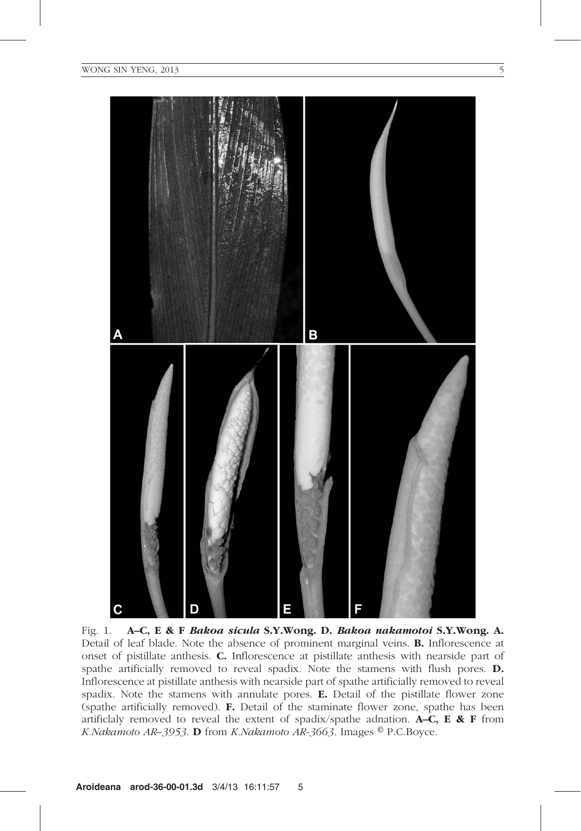

Fig. 1. A–C, E & F Bakoa sicula S.Y.Wong. D. Bakoa nakamotoi S.Y.Wong. A. Detail of leaf blade. Note the absence of prominent marginal veins. B. Inflorescence at onset of pistillate anthesis. C. Inflorescence at pistillate anthesis with nearside part of spathe artificially removed to reveal spadix. Note the stamens with flush pores. D. Inflorescence at pistillate anthesis with nearside part of spathe artificially removed to reveal spadix. Note the stamens with annulate pores. E. Detail of the pistillate flower zone (spathe artificially removed). F. Detail of the staminate flower zone, spathe has been artificlaly removed to reveal the extent of spadix/spathe adnation. **A–C, E & F** from K.Nakamoto AR–3953. **D** from K.Nakamoto AR-3663. Images  $^{\circ}$  P.C.Boyce.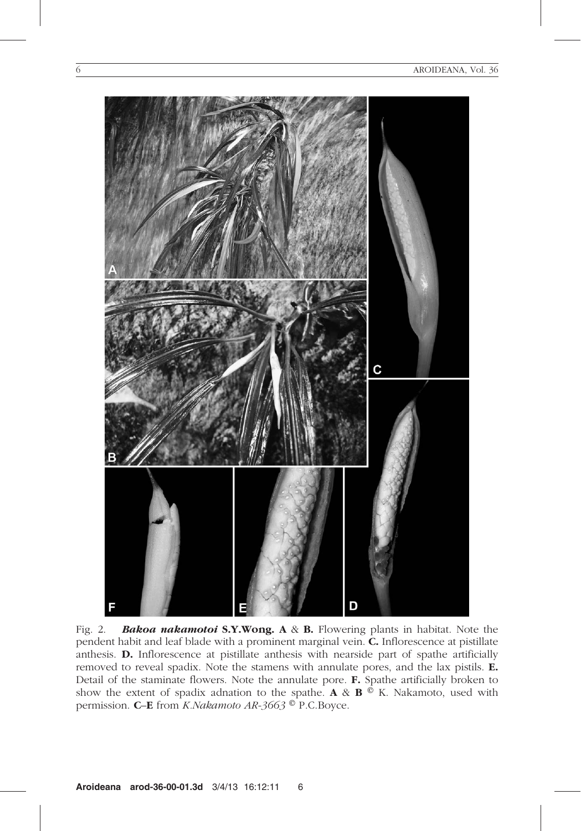

Fig. 2. **Bakoa nakamotoi S.Y.Wong.**  $A \& B$ . Flowering plants in habitat. Note the pendent habit and leaf blade with a prominent marginal vein. C. Inflorescence at pistillate anthesis. D. Inflorescence at pistillate anthesis with nearside part of spathe artificially removed to reveal spadix. Note the stamens with annulate pores, and the lax pistils. E. Detail of the staminate flowers. Note the annulate pore. F. Spathe artificially broken to show the extent of spadix adnation to the spathe. A &  $\mathbf{B} \circ K$ . Nakamoto, used with permission. **C–E** from *K.Nakamoto AR-3663* <sup>o</sup> P.C.Boyce.